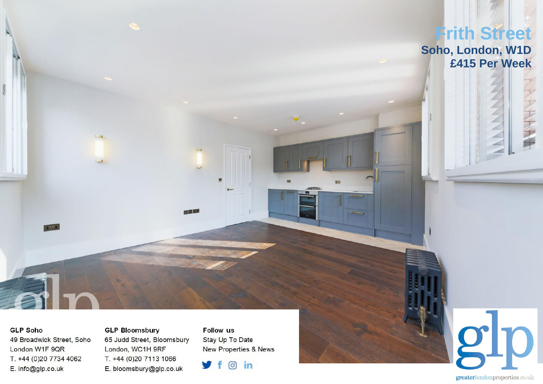

## **GLP Soho**

49 Broadwick Street, Soho London W1F 9QR T. +44 (0)20 7734 4062 E. info@glp.co.uk

**GLP Bloomsbury** 65 Judd Street, Bloomsbury London, WC1H 9RF T. +44 (0)20 7113 1066 E. bloomsbury@glp.co.uk

**Follow us** Stay Up To Date **New Properties & News** 



greaterlondonproperties.co.uk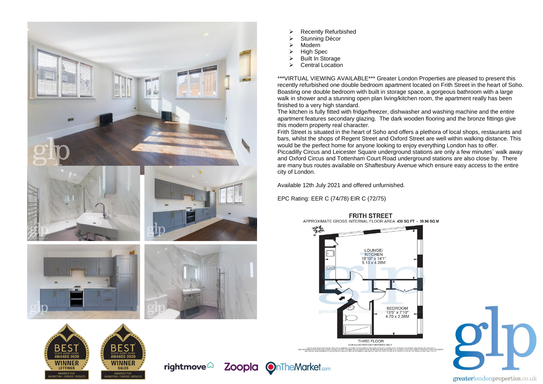

- ➢ Recently Refurbished
- Stunning Décor
- Modern
- ➢ High Spec
- **▷** Built In Storage<br>▶ Central Location
- Central Location

\*\*\*VIRTUAL VIEWING AVAILABLE\*\*\* Greater London Properties are pleased to present this recently refurbished one double bedroom apartment located on Frith Street in the heart of Soho. Boasting one double bedroom with built in storage space, a gorgeous bathroom with a large walk in shower and a stunning open plan living/kitchen room, the apartment really has been finished to a very high standard.

The kitchen is fully fitted with fridge/freezer, dishwasher and washing machine and the entire apartment features secondary glazing. The dark wooden flooring and the bronze fittings give this modern property real character.

Frith Street is situated in the heart of Soho and offers a plethora of local shops, restaurants and bars, whilst the shops of Regent Street and Oxford Street are well within walking distance. This would be the perfect home for anyone looking to enjoy everything London has to offer. Piccadilly Circus and Leicester Square underground stations are only a few minutes` walk away and Oxford Circus and Tottenham Court Road underground stations are also close by. There are many bus routes available on Shaftesbury Avenue which ensure easy access to the entire city of London.

Available 12th July 2021 and offered unfurnished.

EPC Rating: EER C (74/78) EIR C (72/75)



## **FRITH STREET**

APPROXIMATE GROSS INTERNAL FLOOR AREA: 430 SO FT - 39 96 SO M







greaterlondonproperties.co.uk